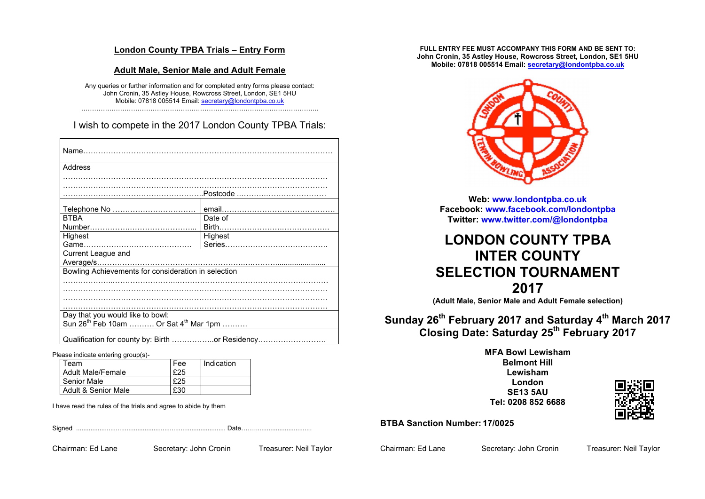#### **London County TPBA Trials – Entry Form**

#### **Adult Male, Senior Male and Adult Female**

Any queries or further information and for completed entry forms please contact: John Cronin, 35 Astley House, Rowcross Street, London, SE1 5HU Mobile: 07818 005514 Email: secretary@londontpba.co.uk ………………………………………………………………………………………………..

I wish to compete in the 2017 London County TPBA Trials:

| Address                                                       |         |  |
|---------------------------------------------------------------|---------|--|
|                                                               |         |  |
|                                                               |         |  |
|                                                               |         |  |
| <b>BTBA</b>                                                   | Date of |  |
|                                                               |         |  |
| Highest                                                       | Highest |  |
|                                                               |         |  |
| Current League and                                            |         |  |
|                                                               |         |  |
|                                                               |         |  |
|                                                               |         |  |
|                                                               |         |  |
|                                                               |         |  |
|                                                               |         |  |
| Day that you would like to bowl:                              |         |  |
| Sun 26 <sup>th</sup> Feb 10am  Or Sat 4 <sup>th</sup> Mar 1pm |         |  |
| Qualification for county by: Birth or Residency               |         |  |

Please indicate entering group(s)-

| Fee | Indication |
|-----|------------|
| £25 |            |
| £25 |            |
| £30 |            |
|     |            |

I have read the rules of the trials and agree to abide by them

Signed ................................................................................... Date……................................

Chairman: Ed Lane Secretary: John Cronin Treasurer: Neil Taylor

**FULL ENTRY FEE MUST ACCOMPANY THIS FORM AND BE SENT TO: John Cronin, 35 Astley House, Rowcross Street, London, SE1 5HU Mobile: 07818 005514 Email: secretary@londontpba.co.uk**



**Web: www.londontpba.co.uk Facebook: www.facebook.com/londontpba Twitter: www.twitter.com/@londontpba**

# **LONDON COUNTY TPBA INTER COUNTY SELECTION TOURNAMENT 2017**

**(Adult Male, Senior Male and Adult Female selection)**

# **Sunday 26th February 2017 and Saturday 4th March 2017 Closing Date: Saturday 25th February 2017**

#### **MFA Bowl Lewisham Belmont Hill Lewisham London SE13 5AU Tel: 0208 852 6688**



**BTBA Sanction Number: 17/0025**

Chairman: Ed Lane Secretary: John Cronin Treasurer: Neil Taylor